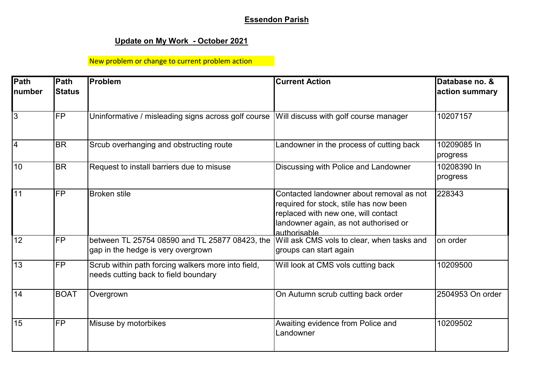## **Essendon Parish**

## **Update on My Work - October 2021**

## New problem or change to current problem action

| Path<br>number | Path<br><b>Status</b> | <b>IProblem</b>                                                                            | <b>Current Action</b>                                                                                                                                                              | Database no. &<br>action summary |
|----------------|-----------------------|--------------------------------------------------------------------------------------------|------------------------------------------------------------------------------------------------------------------------------------------------------------------------------------|----------------------------------|
| $\overline{3}$ | <b>FP</b>             | Uninformative / misleading signs across golf course                                        | Will discuss with golf course manager                                                                                                                                              | 10207157                         |
| l4             | <b>BR</b>             | Srcub overhanging and obstructing route                                                    | Landowner in the process of cutting back                                                                                                                                           | 10209085 In<br>progress          |
| 10             | <b>BR</b>             | Request to install barriers due to misuse                                                  | Discussing with Police and Landowner                                                                                                                                               | 10208390 In<br>progress          |
| 11             | <b>FP</b>             | <b>Broken</b> stile                                                                        | Contacted landowner about removal as not<br>required for stock, stile has now been<br>replaced with new one, will contact<br>landowner again, as not authorised or<br>authorisable | 228343                           |
| 12             | <b>FP</b>             | between TL 25754 08590 and TL 25877 08423, the<br>gap in the hedge is very overgrown       | Will ask CMS vols to clear, when tasks and<br>groups can start again                                                                                                               | on order                         |
| 13             | <b>FP</b>             | Scrub within path forcing walkers more into field,<br>needs cutting back to field boundary | Will look at CMS vols cutting back                                                                                                                                                 | 10209500                         |
| 14             | <b>BOAT</b>           | Overgrown                                                                                  | On Autumn scrub cutting back order                                                                                                                                                 | 2504953 On order                 |
| 15             | <b>FP</b>             | Misuse by motorbikes                                                                       | Awaiting evidence from Police and<br>Landowner                                                                                                                                     | 10209502                         |